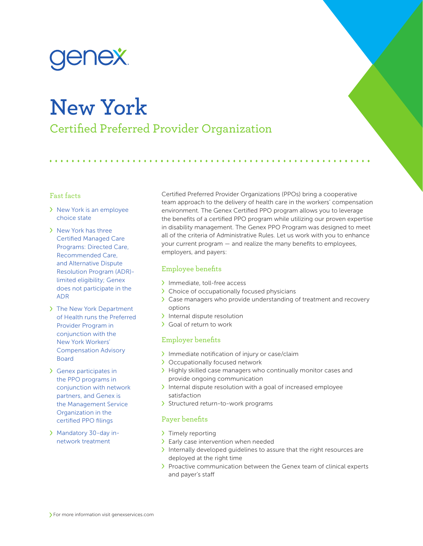

# **New York**

Certified Preferred Provider Organization

## Fast facts

- > New York is an employee choice state
- > New York has three Certified Managed Care Programs: Directed Care, Recommended Care, and Alternative Dispute Resolution Program (ADR) limited eligibility; Genex does not participate in the ADR
- > The New York Department of Health runs the Preferred Provider Program in conjunction with the New York Workers' Compensation Advisory Board
- Genex participates in the PPO programs in conjunction with network partners, and Genex is the Management Service Organization in the certified PPO filings
- Mandatory 30-day innetwork treatment

Certified Preferred Provider Organizations (PPOs) bring a cooperative team approach to the delivery of health care in the workers' compensation environment. The Genex Certified PPO program allows you to leverage the benefits of a certified PPO program while utilizing our proven expertise in disability management. The Genex PPO Program was designed to meet all of the criteria of Administrative Rules. Let us work with you to enhance your current program — and realize the many benefits to employees, employers, and payers:

## Employee benefits

- > Immediate, toll-free access
- > Choice of occupationally focused physicians
- Case managers who provide understanding of treatment and recovery options
- $\sum$  Internal dispute resolution
- Goal of return to work

# Employer benefits

- Immediate notification of injury or case/claim
- > Occupationally focused network
- > Highly skilled case managers who continually monitor cases and provide ongoing communication
- Internal dispute resolution with a goal of increased employee satisfaction
- > Structured return-to-work programs

# Payer benefits

- > Timely reporting
- > Early case intervention when needed
- Internally developed guidelines to assure that the right resources are deployed at the right time
- > Proactive communication between the Genex team of clinical experts and payer's staff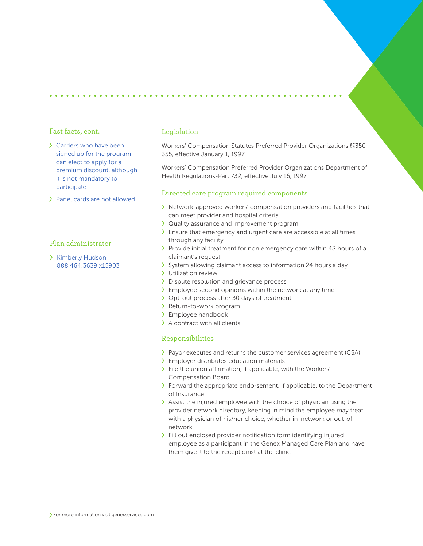#### Fast facts, cont.

- Carriers who have been signed up for the program can elect to apply for a premium discount, although it is not mandatory to participate
- Panel cards are not allowed

# Plan administrator

> Kimberly Hudson 888.464.3639 x15903

#### Legislation

Workers' Compensation Statutes Preferred Provider Organizations §§350- 355, effective January 1, 1997

Workers' Compensation Preferred Provider Organizations Department of Health Regulations-Part 732, effective July 16, 1997

## Directed care program required components

- Network-approved workers' compensation providers and facilities that can meet provider and hospital criteria
- Quality assurance and improvement program
- Ensure that emergency and urgent care are accessible at all times through any facility
- > Provide initial treatment for non emergency care within 48 hours of a claimant's request
- > System allowing claimant access to information 24 hours a day
- > Utilization review
- > Dispute resolution and grievance process
- $\sum$  Employee second opinions within the network at any time
- > Opt-out process after 30 days of treatment
- > Return-to-work program
- > Employee handbook
- > A contract with all clients

## Responsibilities

- Payor executes and returns the customer services agreement (CSA)
- Employer distributes education materials
- $\sum$  File the union affirmation, if applicable, with the Workers' Compensation Board
- $\sum$  Forward the appropriate endorsement, if applicable, to the Department of Insurance
- $\lambda$  Assist the injured employee with the choice of physician using the provider network directory, keeping in mind the employee may treat with a physician of his/her choice, whether in-network or out-ofnetwork
- Fill out enclosed provider notification form identifying injured employee as a participant in the Genex Managed Care Plan and have them give it to the receptionist at the clinic